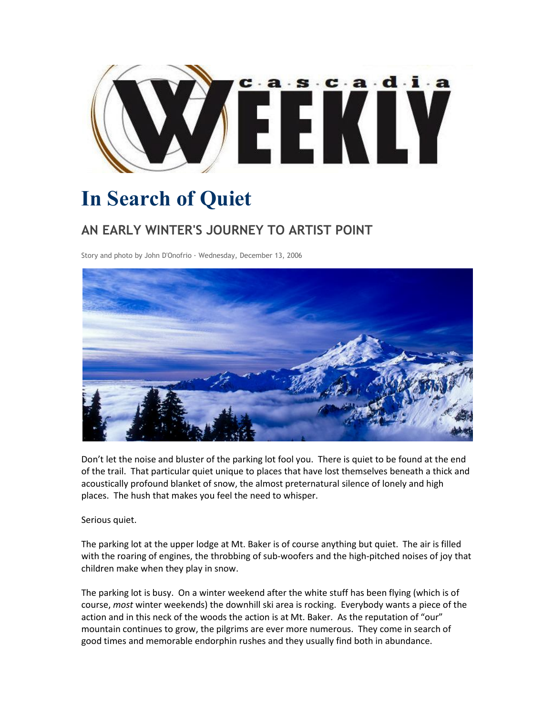

## **In Search of Quiet**

## **AN EARLY WINTER'S JOURNEY TO ARTIST POINT**

Story and photo by John D'Onofrio · Wednesday, December 13, 2006



Don't let the noise and bluster of the parking lot fool you. There is quiet to be found at the end of the trail. That particular quiet unique to places that have lost themselves beneath a thick and acoustically profound blanket of snow, the almost preternatural silence of lonely and high places. The hush that makes you feel the need to whisper.

Serious quiet.

The parking lot at the upper lodge at Mt. Baker is of course anything but quiet. The air is filled with the roaring of engines, the throbbing of sub-woofers and the high-pitched noises of joy that children make when they play in snow.

The parking lot is busy. On a winter weekend after the white stuff has been flying (which is of course, *most* winter weekends) the downhill ski area is rocking. Everybody wants a piece of the action and in this neck of the woods the action is at Mt. Baker. As the reputation of "our" mountain continues to grow, the pilgrims are ever more numerous. They come in search of good times and memorable endorphin rushes and they usually find both in abundance.